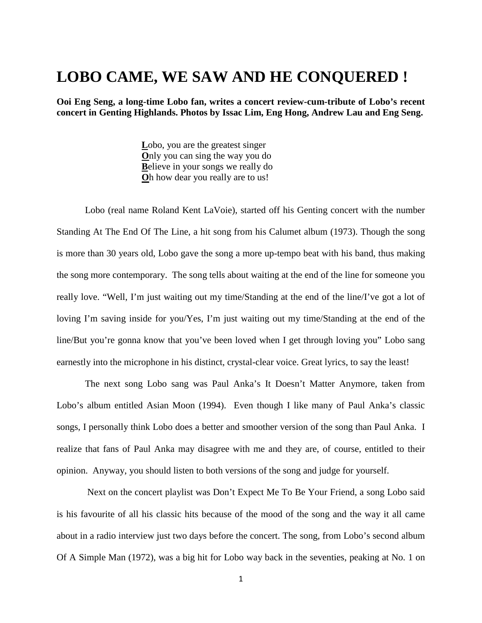## **LOBO CAME, WE SAW AND HE CONQUERED !**

**Ooi Eng Seng, a long-time Lobo fan, writes a concert review-cum-tribute of Lobo's recent concert in Genting Highlands. Photos by Issac Lim, Eng Hong, Andrew Lau and Eng Seng.**

> **L**obo, you are the greatest singer **O**nly you can sing the way you do **B**elieve in your songs we really do **O**h how dear you really are to us!

Lobo (real name Roland Kent LaVoie), started off his Genting concert with the number Standing At The End Of The Line, a hit song from his Calumet album (1973). Though the song is more than 30 years old, Lobo gave the song a more up-tempo beat with his band, thus making the song more contemporary. The song tells about waiting at the end of the line for someone you really love. "Well, I'm just waiting out my time/Standing at the end of the line/I've got a lot of loving I'm saving inside for you/Yes, I'm just waiting out my time/Standing at the end of the line/But you're gonna know that you've been loved when I get through loving you" Lobo sang earnestly into the microphone in his distinct, crystal-clear voice. Great lyrics, to say the least!

The next song Lobo sang was Paul Anka's It Doesn't Matter Anymore, taken from Lobo's album entitled Asian Moon (1994). Even though I like many of Paul Anka's classic songs, I personally think Lobo does a better and smoother version of the song than Paul Anka. I realize that fans of Paul Anka may disagree with me and they are, of course, entitled to their opinion. Anyway, you should listen to both versions of the song and judge for yourself.

Next on the concert playlist was Don't Expect Me To Be Your Friend, a song Lobo said is his favourite of all his classic hits because of the mood of the song and the way it all came about in a radio interview just two days before the concert. The song, from Lobo's second album Of A Simple Man (1972), was a big hit for Lobo way back in the seventies, peaking at No. 1 on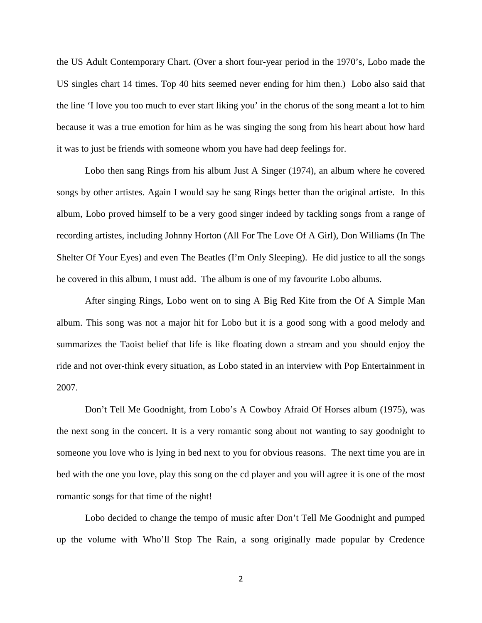the US Adult Contemporary Chart. (Over a short four-year period in the 1970's, Lobo made the US singles chart 14 times. Top 40 hits seemed never ending for him then.) Lobo also said that the line 'I love you too much to ever start liking you' in the chorus of the song meant a lot to him because it was a true emotion for him as he was singing the song from his heart about how hard it was to just be friends with someone whom you have had deep feelings for.

Lobo then sang Rings from his album Just A Singer (1974), an album where he covered songs by other artistes. Again I would say he sang Rings better than the original artiste. In this album, Lobo proved himself to be a very good singer indeed by tackling songs from a range of recording artistes, including Johnny Horton (All For The Love Of A Girl), Don Williams (In The Shelter Of Your Eyes) and even The Beatles (I'm Only Sleeping). He did justice to all the songs he covered in this album, I must add. The album is one of my favourite Lobo albums.

After singing Rings, Lobo went on to sing A Big Red Kite from the Of A Simple Man album. This song was not a major hit for Lobo but it is a good song with a good melody and summarizes the Taoist belief that life is like floating down a stream and you should enjoy the ride and not over-think every situation, as Lobo stated in an interview with Pop Entertainment in 2007.

Don't Tell Me Goodnight, from Lobo's A Cowboy Afraid Of Horses album (1975), was the next song in the concert. It is a very romantic song about not wanting to say goodnight to someone you love who is lying in bed next to you for obvious reasons. The next time you are in bed with the one you love, play this song on the cd player and you will agree it is one of the most romantic songs for that time of the night!

Lobo decided to change the tempo of music after Don't Tell Me Goodnight and pumped up the volume with Who'll Stop The Rain, a song originally made popular by Credence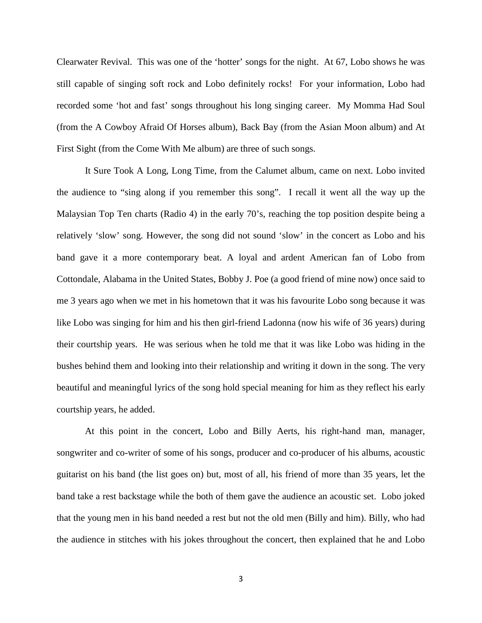Clearwater Revival. This was one of the 'hotter' songs for the night. At 67, Lobo shows he was still capable of singing soft rock and Lobo definitely rocks! For your information, Lobo had recorded some 'hot and fast' songs throughout his long singing career. My Momma Had Soul (from the A Cowboy Afraid Of Horses album), Back Bay (from the Asian Moon album) and At First Sight (from the Come With Me album) are three of such songs.

It Sure Took A Long, Long Time, from the Calumet album, came on next. Lobo invited the audience to "sing along if you remember this song". I recall it went all the way up the Malaysian Top Ten charts (Radio 4) in the early 70's, reaching the top position despite being a relatively 'slow' song. However, the song did not sound 'slow' in the concert as Lobo and his band gave it a more contemporary beat. A loyal and ardent American fan of Lobo from Cottondale, Alabama in the United States, Bobby J. Poe (a good friend of mine now) once said to me 3 years ago when we met in his hometown that it was his favourite Lobo song because it was like Lobo was singing for him and his then girl-friend Ladonna (now his wife of 36 years) during their courtship years. He was serious when he told me that it was like Lobo was hiding in the bushes behind them and looking into their relationship and writing it down in the song. The very beautiful and meaningful lyrics of the song hold special meaning for him as they reflect his early courtship years, he added.

At this point in the concert, Lobo and Billy Aerts, his right-hand man, manager, songwriter and co-writer of some of his songs, producer and co-producer of his albums, acoustic guitarist on his band (the list goes on) but, most of all, his friend of more than 35 years, let the band take a rest backstage while the both of them gave the audience an acoustic set. Lobo joked that the young men in his band needed a rest but not the old men (Billy and him). Billy, who had the audience in stitches with his jokes throughout the concert, then explained that he and Lobo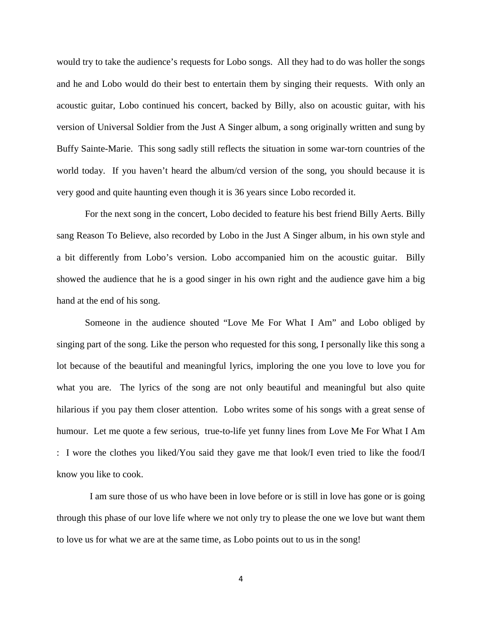would try to take the audience's requests for Lobo songs. All they had to do was holler the songs and he and Lobo would do their best to entertain them by singing their requests. With only an acoustic guitar, Lobo continued his concert, backed by Billy, also on acoustic guitar, with his version of Universal Soldier from the Just A Singer album, a song originally written and sung by Buffy Sainte-Marie. This song sadly still reflects the situation in some war-torn countries of the world today. If you haven't heard the album/cd version of the song, you should because it is very good and quite haunting even though it is 36 years since Lobo recorded it.

For the next song in the concert, Lobo decided to feature his best friend Billy Aerts. Billy sang Reason To Believe, also recorded by Lobo in the Just A Singer album, in his own style and a bit differently from Lobo's version. Lobo accompanied him on the acoustic guitar. Billy showed the audience that he is a good singer in his own right and the audience gave him a big hand at the end of his song.

Someone in the audience shouted "Love Me For What I Am" and Lobo obliged by singing part of the song. Like the person who requested for this song, I personally like this song a lot because of the beautiful and meaningful lyrics, imploring the one you love to love you for what you are. The lyrics of the song are not only beautiful and meaningful but also quite hilarious if you pay them closer attention. Lobo writes some of his songs with a great sense of humour. Let me quote a few serious, true-to-life yet funny lines from Love Me For What I Am : I wore the clothes you liked/You said they gave me that look/I even tried to like the food/I know you like to cook.

 I am sure those of us who have been in love before or is still in love has gone or is going through this phase of our love life where we not only try to please the one we love but want them to love us for what we are at the same time, as Lobo points out to us in the song!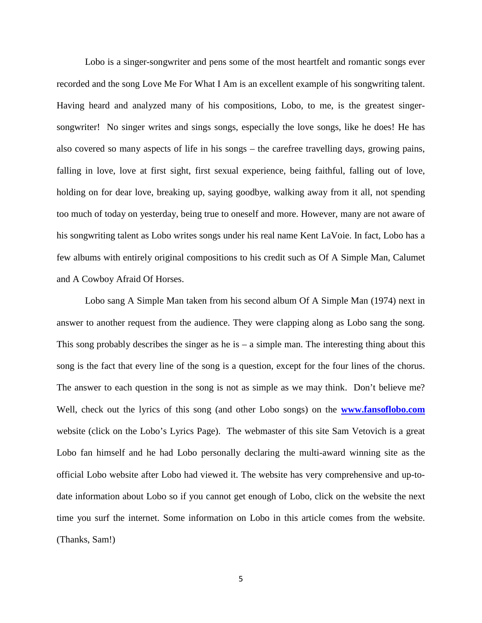Lobo is a singer-songwriter and pens some of the most heartfelt and romantic songs ever recorded and the song Love Me For What I Am is an excellent example of his songwriting talent. Having heard and analyzed many of his compositions, Lobo, to me, is the greatest singersongwriter! No singer writes and sings songs, especially the love songs, like he does! He has also covered so many aspects of life in his songs – the carefree travelling days, growing pains, falling in love, love at first sight, first sexual experience, being faithful, falling out of love, holding on for dear love, breaking up, saying goodbye, walking away from it all, not spending too much of today on yesterday, being true to oneself and more. However, many are not aware of his songwriting talent as Lobo writes songs under his real name Kent LaVoie. In fact, Lobo has a few albums with entirely original compositions to his credit such as Of A Simple Man, Calumet and A Cowboy Afraid Of Horses.

Lobo sang A Simple Man taken from his second album Of A Simple Man (1974) next in answer to another request from the audience. They were clapping along as Lobo sang the song. This song probably describes the singer as he is  $-$  a simple man. The interesting thing about this song is the fact that every line of the song is a question, except for the four lines of the chorus. The answer to each question in the song is not as simple as we may think. Don't believe me? Well, check out the lyrics of this song (and other Lobo songs) on the **[www.fansoflobo.com](http://www.fansoflobo.com/)** website (click on the Lobo's Lyrics Page). The webmaster of this site Sam Vetovich is a great Lobo fan himself and he had Lobo personally declaring the multi-award winning site as the official Lobo website after Lobo had viewed it. The website has very comprehensive and up-todate information about Lobo so if you cannot get enough of Lobo, click on the website the next time you surf the internet. Some information on Lobo in this article comes from the website. (Thanks, Sam!)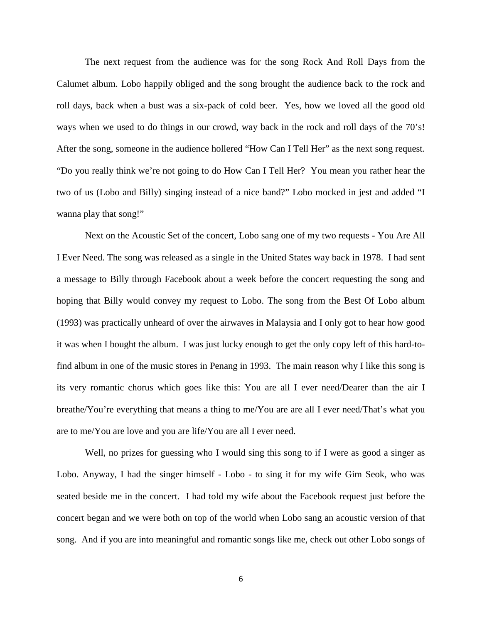The next request from the audience was for the song Rock And Roll Days from the Calumet album. Lobo happily obliged and the song brought the audience back to the rock and roll days, back when a bust was a six-pack of cold beer. Yes, how we loved all the good old ways when we used to do things in our crowd, way back in the rock and roll days of the 70's! After the song, someone in the audience hollered "How Can I Tell Her" as the next song request. "Do you really think we're not going to do How Can I Tell Her? You mean you rather hear the two of us (Lobo and Billy) singing instead of a nice band?" Lobo mocked in jest and added "I wanna play that song!"

Next on the Acoustic Set of the concert, Lobo sang one of my two requests - You Are All I Ever Need. The song was released as a single in the United States way back in 1978. I had sent a message to Billy through Facebook about a week before the concert requesting the song and hoping that Billy would convey my request to Lobo. The song from the Best Of Lobo album (1993) was practically unheard of over the airwaves in Malaysia and I only got to hear how good it was when I bought the album. I was just lucky enough to get the only copy left of this hard-tofind album in one of the music stores in Penang in 1993. The main reason why I like this song is its very romantic chorus which goes like this: You are all I ever need/Dearer than the air I breathe/You're everything that means a thing to me/You are are all I ever need/That's what you are to me/You are love and you are life/You are all I ever need.

Well, no prizes for guessing who I would sing this song to if I were as good a singer as Lobo. Anyway, I had the singer himself - Lobo - to sing it for my wife Gim Seok, who was seated beside me in the concert. I had told my wife about the Facebook request just before the concert began and we were both on top of the world when Lobo sang an acoustic version of that song. And if you are into meaningful and romantic songs like me, check out other Lobo songs of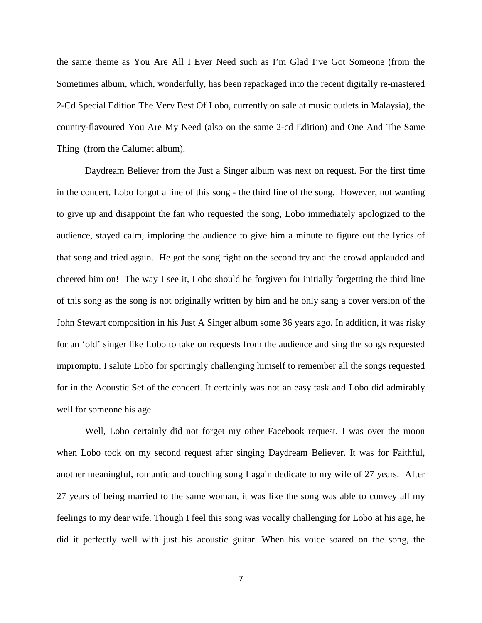the same theme as You Are All I Ever Need such as I'm Glad I've Got Someone (from the Sometimes album, which, wonderfully, has been repackaged into the recent digitally re-mastered 2-Cd Special Edition The Very Best Of Lobo, currently on sale at music outlets in Malaysia), the country-flavoured You Are My Need (also on the same 2-cd Edition) and One And The Same Thing (from the Calumet album).

Daydream Believer from the Just a Singer album was next on request. For the first time in the concert, Lobo forgot a line of this song - the third line of the song. However, not wanting to give up and disappoint the fan who requested the song, Lobo immediately apologized to the audience, stayed calm, imploring the audience to give him a minute to figure out the lyrics of that song and tried again. He got the song right on the second try and the crowd applauded and cheered him on! The way I see it, Lobo should be forgiven for initially forgetting the third line of this song as the song is not originally written by him and he only sang a cover version of the John Stewart composition in his Just A Singer album some 36 years ago. In addition, it was risky for an 'old' singer like Lobo to take on requests from the audience and sing the songs requested impromptu. I salute Lobo for sportingly challenging himself to remember all the songs requested for in the Acoustic Set of the concert. It certainly was not an easy task and Lobo did admirably well for someone his age.

Well, Lobo certainly did not forget my other Facebook request. I was over the moon when Lobo took on my second request after singing Daydream Believer. It was for Faithful, another meaningful, romantic and touching song I again dedicate to my wife of 27 years. After 27 years of being married to the same woman, it was like the song was able to convey all my feelings to my dear wife. Though I feel this song was vocally challenging for Lobo at his age, he did it perfectly well with just his acoustic guitar. When his voice soared on the song, the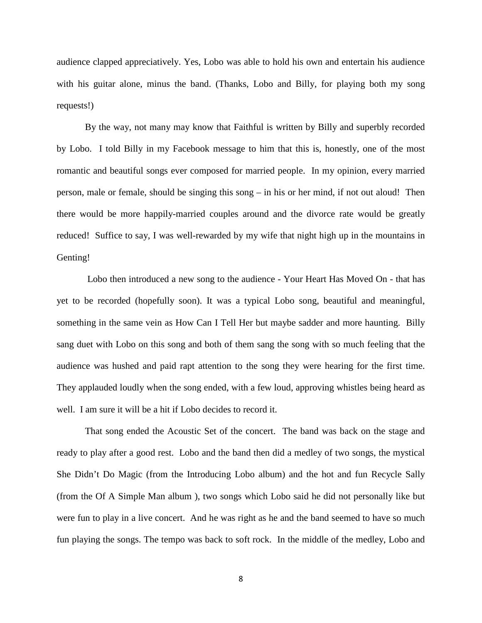audience clapped appreciatively. Yes, Lobo was able to hold his own and entertain his audience with his guitar alone, minus the band. (Thanks, Lobo and Billy, for playing both my song requests!)

By the way, not many may know that Faithful is written by Billy and superbly recorded by Lobo. I told Billy in my Facebook message to him that this is, honestly, one of the most romantic and beautiful songs ever composed for married people. In my opinion, every married person, male or female, should be singing this song – in his or her mind, if not out aloud! Then there would be more happily-married couples around and the divorce rate would be greatly reduced! Suffice to say, I was well-rewarded by my wife that night high up in the mountains in Genting!

Lobo then introduced a new song to the audience - Your Heart Has Moved On - that has yet to be recorded (hopefully soon). It was a typical Lobo song, beautiful and meaningful, something in the same vein as How Can I Tell Her but maybe sadder and more haunting. Billy sang duet with Lobo on this song and both of them sang the song with so much feeling that the audience was hushed and paid rapt attention to the song they were hearing for the first time. They applauded loudly when the song ended, with a few loud, approving whistles being heard as well. I am sure it will be a hit if Lobo decides to record it.

That song ended the Acoustic Set of the concert. The band was back on the stage and ready to play after a good rest. Lobo and the band then did a medley of two songs, the mystical She Didn't Do Magic (from the Introducing Lobo album) and the hot and fun Recycle Sally (from the Of A Simple Man album ), two songs which Lobo said he did not personally like but were fun to play in a live concert. And he was right as he and the band seemed to have so much fun playing the songs. The tempo was back to soft rock. In the middle of the medley, Lobo and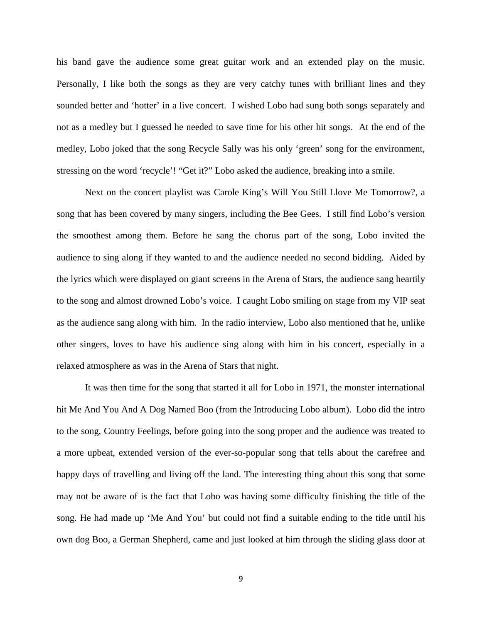his band gave the audience some great guitar work and an extended play on the music. Personally, I like both the songs as they are very catchy tunes with brilliant lines and they sounded better and 'hotter' in a live concert. I wished Lobo had sung both songs separately and not as a medley but I guessed he needed to save time for his other hit songs. At the end of the medley, Lobo joked that the song Recycle Sally was his only 'green' song for the environment, stressing on the word 'recycle'! "Get it?" Lobo asked the audience, breaking into a smile.

Next on the concert playlist was Carole King's Will You Still Llove Me Tomorrow?, a song that has been covered by many singers, including the Bee Gees. I still find Lobo's version the smoothest among them. Before he sang the chorus part of the song, Lobo invited the audience to sing along if they wanted to and the audience needed no second bidding. Aided by the lyrics which were displayed on giant screens in the Arena of Stars, the audience sang heartily to the song and almost drowned Lobo's voice. I caught Lobo smiling on stage from my VIP seat as the audience sang along with him. In the radio interview, Lobo also mentioned that he, unlike other singers, loves to have his audience sing along with him in his concert, especially in a relaxed atmosphere as was in the Arena of Stars that night.

It was then time for the song that started it all for Lobo in 1971, the monster international hit Me And You And A Dog Named Boo (from the Introducing Lobo album). Lobo did the intro to the song, Country Feelings, before going into the song proper and the audience was treated to a more upbeat, extended version of the ever-so-popular song that tells about the carefree and happy days of travelling and living off the land. The interesting thing about this song that some may not be aware of is the fact that Lobo was having some difficulty finishing the title of the song. He had made up 'Me And You' but could not find a suitable ending to the title until his own dog Boo, a German Shepherd, came and just looked at him through the sliding glass door at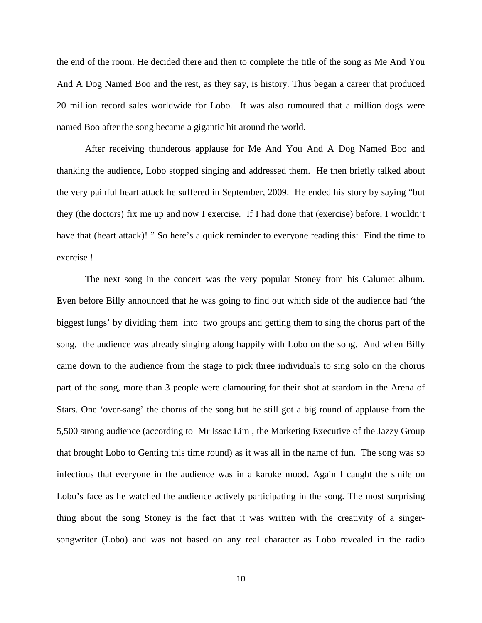the end of the room. He decided there and then to complete the title of the song as Me And You And A Dog Named Boo and the rest, as they say, is history. Thus began a career that produced 20 million record sales worldwide for Lobo. It was also rumoured that a million dogs were named Boo after the song became a gigantic hit around the world.

After receiving thunderous applause for Me And You And A Dog Named Boo and thanking the audience, Lobo stopped singing and addressed them. He then briefly talked about the very painful heart attack he suffered in September, 2009. He ended his story by saying "but they (the doctors) fix me up and now I exercise. If I had done that (exercise) before, I wouldn't have that (heart attack)! " So here's a quick reminder to everyone reading this: Find the time to exercise !

The next song in the concert was the very popular Stoney from his Calumet album. Even before Billy announced that he was going to find out which side of the audience had 'the biggest lungs' by dividing them into two groups and getting them to sing the chorus part of the song, the audience was already singing along happily with Lobo on the song. And when Billy came down to the audience from the stage to pick three individuals to sing solo on the chorus part of the song, more than 3 people were clamouring for their shot at stardom in the Arena of Stars. One 'over-sang' the chorus of the song but he still got a big round of applause from the 5,500 strong audience (according to Mr Issac Lim , the Marketing Executive of the Jazzy Group that brought Lobo to Genting this time round) as it was all in the name of fun. The song was so infectious that everyone in the audience was in a karoke mood. Again I caught the smile on Lobo's face as he watched the audience actively participating in the song. The most surprising thing about the song Stoney is the fact that it was written with the creativity of a singersongwriter (Lobo) and was not based on any real character as Lobo revealed in the radio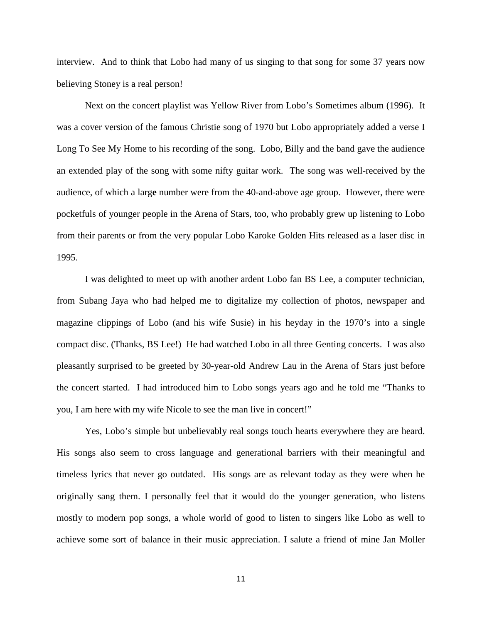interview. And to think that Lobo had many of us singing to that song for some 37 years now believing Stoney is a real person!

Next on the concert playlist was Yellow River from Lobo's Sometimes album (1996). It was a cover version of the famous Christie song of 1970 but Lobo appropriately added a verse I Long To See My Home to his recording of the song. Lobo, Billy and the band gave the audience an extended play of the song with some nifty guitar work. The song was well-received by the audience, of which a larg**e** number were from the 40-and-above age group. However, there were pocketfuls of younger people in the Arena of Stars, too, who probably grew up listening to Lobo from their parents or from the very popular Lobo Karoke Golden Hits released as a laser disc in 1995.

I was delighted to meet up with another ardent Lobo fan BS Lee, a computer technician, from Subang Jaya who had helped me to digitalize my collection of photos, newspaper and magazine clippings of Lobo (and his wife Susie) in his heyday in the 1970's into a single compact disc. (Thanks, BS Lee!) He had watched Lobo in all three Genting concerts. I was also pleasantly surprised to be greeted by 30-year-old Andrew Lau in the Arena of Stars just before the concert started. I had introduced him to Lobo songs years ago and he told me "Thanks to you, I am here with my wife Nicole to see the man live in concert!"

Yes, Lobo's simple but unbelievably real songs touch hearts everywhere they are heard. His songs also seem to cross language and generational barriers with their meaningful and timeless lyrics that never go outdated. His songs are as relevant today as they were when he originally sang them. I personally feel that it would do the younger generation, who listens mostly to modern pop songs, a whole world of good to listen to singers like Lobo as well to achieve some sort of balance in their music appreciation. I salute a friend of mine Jan Moller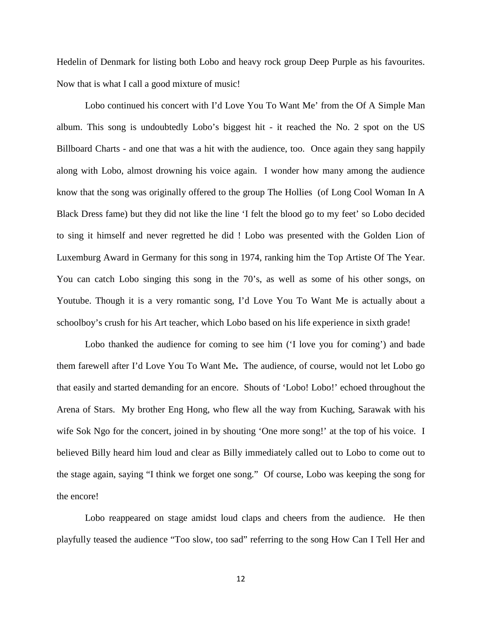Hedelin of Denmark for listing both Lobo and heavy rock group Deep Purple as his favourites. Now that is what I call a good mixture of music!

Lobo continued his concert with I'd Love You To Want Me' from the Of A Simple Man album. This song is undoubtedly Lobo's biggest hit - it reached the No. 2 spot on the US Billboard Charts - and one that was a hit with the audience, too. Once again they sang happily along with Lobo, almost drowning his voice again. I wonder how many among the audience know that the song was originally offered to the group The Hollies (of Long Cool Woman In A Black Dress fame) but they did not like the line 'I felt the blood go to my feet' so Lobo decided to sing it himself and never regretted he did ! Lobo was presented with the Golden Lion of Luxemburg Award in Germany for this song in 1974, ranking him the Top Artiste Of The Year. You can catch Lobo singing this song in the 70's, as well as some of his other songs, on Youtube. Though it is a very romantic song, I'd Love You To Want Me is actually about a schoolboy's crush for his Art teacher, which Lobo based on his life experience in sixth grade!

Lobo thanked the audience for coming to see him ('I love you for coming') and bade them farewell after I'd Love You To Want Me**.** The audience, of course, would not let Lobo go that easily and started demanding for an encore. Shouts of 'Lobo! Lobo!' echoed throughout the Arena of Stars. My brother Eng Hong, who flew all the way from Kuching, Sarawak with his wife Sok Ngo for the concert, joined in by shouting 'One more song!' at the top of his voice. I believed Billy heard him loud and clear as Billy immediately called out to Lobo to come out to the stage again, saying "I think we forget one song." Of course, Lobo was keeping the song for the encore!

Lobo reappeared on stage amidst loud claps and cheers from the audience. He then playfully teased the audience "Too slow, too sad" referring to the song How Can I Tell Her and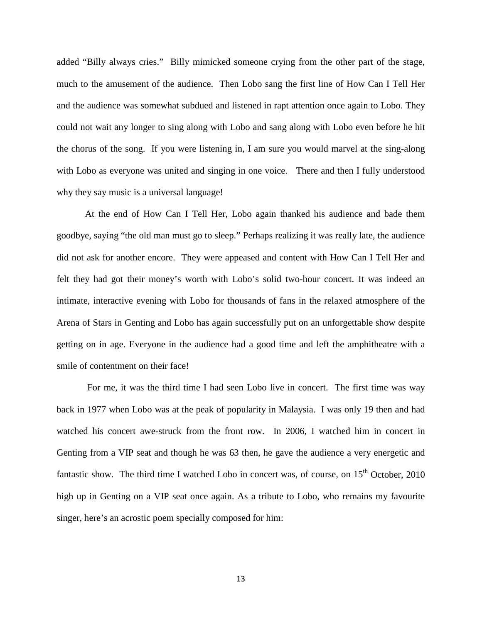added "Billy always cries." Billy mimicked someone crying from the other part of the stage, much to the amusement of the audience. Then Lobo sang the first line of How Can I Tell Her and the audience was somewhat subdued and listened in rapt attention once again to Lobo. They could not wait any longer to sing along with Lobo and sang along with Lobo even before he hit the chorus of the song. If you were listening in, I am sure you would marvel at the sing-along with Lobo as everyone was united and singing in one voice. There and then I fully understood why they say music is a universal language!

At the end of How Can I Tell Her, Lobo again thanked his audience and bade them goodbye, saying "the old man must go to sleep." Perhaps realizing it was really late, the audience did not ask for another encore. They were appeased and content with How Can I Tell Her and felt they had got their money's worth with Lobo's solid two-hour concert. It was indeed an intimate, interactive evening with Lobo for thousands of fans in the relaxed atmosphere of the Arena of Stars in Genting and Lobo has again successfully put on an unforgettable show despite getting on in age. Everyone in the audience had a good time and left the amphitheatre with a smile of contentment on their face!

For me, it was the third time I had seen Lobo live in concert. The first time was way back in 1977 when Lobo was at the peak of popularity in Malaysia. I was only 19 then and had watched his concert awe-struck from the front row. In 2006, I watched him in concert in Genting from a VIP seat and though he was 63 then, he gave the audience a very energetic and fantastic show. The third time I watched Lobo in concert was, of course, on  $15<sup>th</sup>$  October, 2010 high up in Genting on a VIP seat once again. As a tribute to Lobo, who remains my favourite singer, here's an acrostic poem specially composed for him: